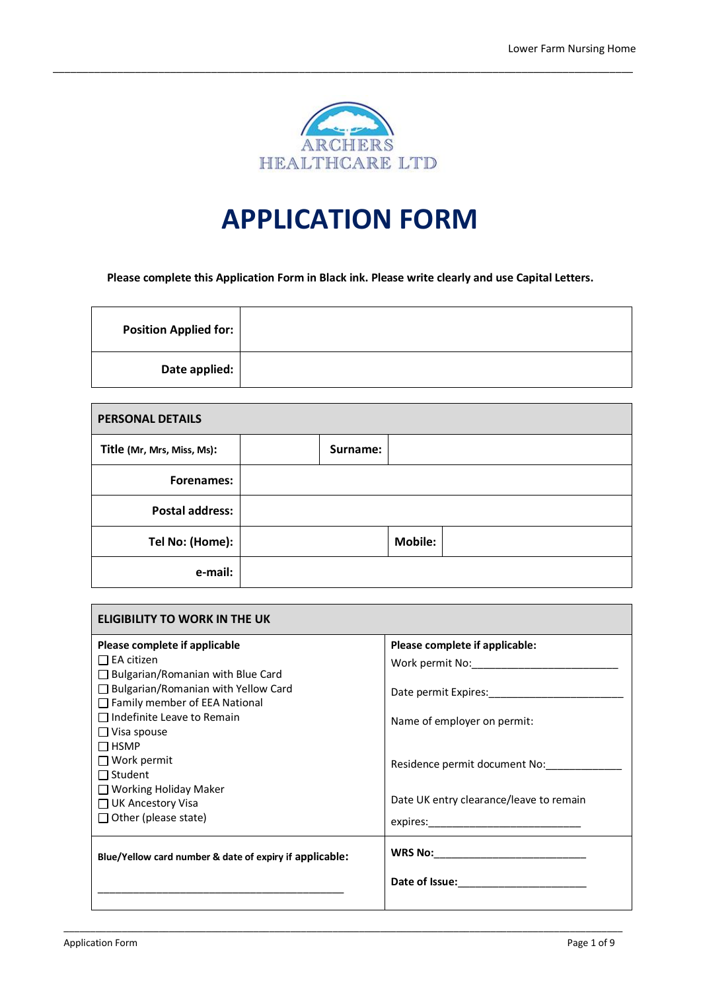

\_\_\_\_\_\_\_\_\_\_\_\_\_\_\_\_\_\_\_\_\_\_\_\_\_\_\_\_\_\_\_\_\_\_\_\_\_\_\_\_\_\_\_\_\_\_\_\_\_\_\_\_\_\_\_\_\_\_\_\_\_\_\_\_\_\_\_\_\_\_\_\_\_\_\_\_\_\_\_\_\_\_\_\_\_\_\_\_\_\_\_\_\_\_\_\_\_\_\_

# **APPLICATION FORM**

**Please complete this Application Form in Black ink. Please write clearly and use Capital Letters.**

| <b>Position Applied for:</b> |  |
|------------------------------|--|
| Date applied:                |  |

| <b>PERSONAL DETAILS</b>    |          |                |  |
|----------------------------|----------|----------------|--|
| Title (Mr, Mrs, Miss, Ms): | Surname: |                |  |
| <b>Forenames:</b>          |          |                |  |
| <b>Postal address:</b>     |          |                |  |
| Tel No: (Home):            |          | <b>Mobile:</b> |  |
| e-mail:                    |          |                |  |

| <b>ELIGIBILITY TO WORK IN THE UK</b>                                                                                                                                                                     |                                                                                  |
|----------------------------------------------------------------------------------------------------------------------------------------------------------------------------------------------------------|----------------------------------------------------------------------------------|
| Please complete if applicable<br>$\Box$ EA citizen<br>$\Box$ Bulgarian/Romanian with Blue Card<br>□ Bulgarian/Romanian with Yellow Card<br>□ Family member of EEA National<br>Indefinite Leave to Remain | Please complete if applicable:<br>Work permit No:<br>Name of employer on permit: |
| $\Box$ Visa spouse<br>$\Box$ HSMP<br>$\Box$ Work permit<br>$\Box$ Student<br>$\Box$ Working Holiday Maker<br>$\Box$ UK Ancestory Visa<br>$\Box$ Other (please state)                                     | Residence permit document No:<br>Date UK entry clearance/leave to remain         |
| Blue/Yellow card number & date of expiry if applicable:                                                                                                                                                  |                                                                                  |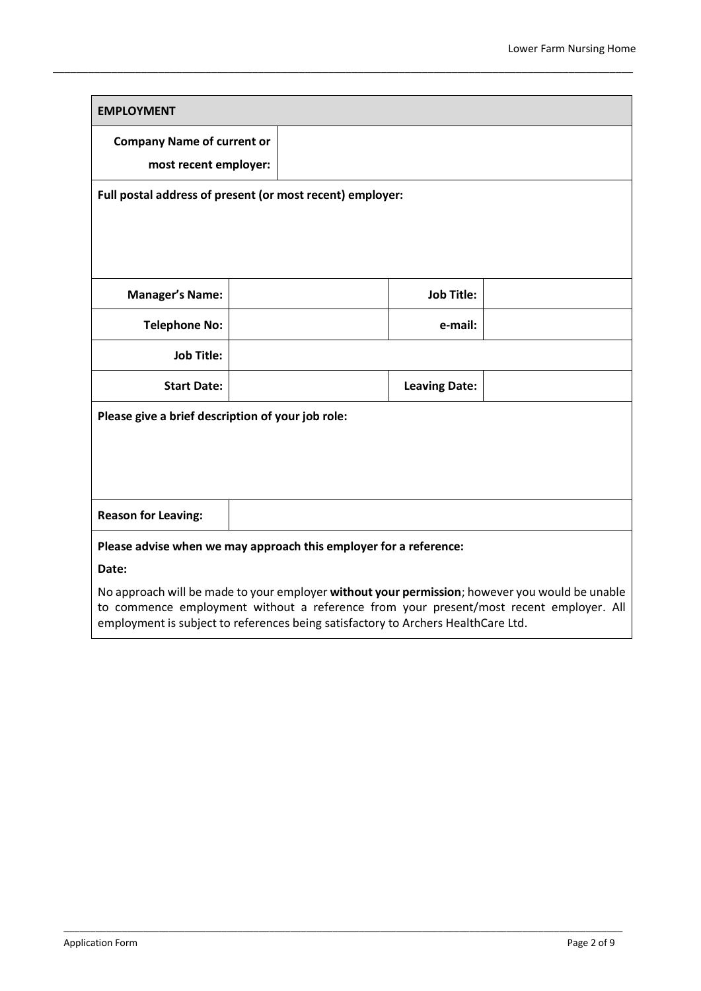| <b>EMPLOYMENT</b>                                                                                                                                                                                                                                                             |                                   |  |                      |  |
|-------------------------------------------------------------------------------------------------------------------------------------------------------------------------------------------------------------------------------------------------------------------------------|-----------------------------------|--|----------------------|--|
|                                                                                                                                                                                                                                                                               | <b>Company Name of current or</b> |  |                      |  |
| most recent employer:                                                                                                                                                                                                                                                         |                                   |  |                      |  |
| Full postal address of present (or most recent) employer:                                                                                                                                                                                                                     |                                   |  |                      |  |
|                                                                                                                                                                                                                                                                               |                                   |  |                      |  |
|                                                                                                                                                                                                                                                                               |                                   |  |                      |  |
|                                                                                                                                                                                                                                                                               |                                   |  |                      |  |
| <b>Manager's Name:</b>                                                                                                                                                                                                                                                        |                                   |  | <b>Job Title:</b>    |  |
| <b>Telephone No:</b>                                                                                                                                                                                                                                                          |                                   |  | e-mail:              |  |
| <b>Job Title:</b>                                                                                                                                                                                                                                                             |                                   |  |                      |  |
| <b>Start Date:</b>                                                                                                                                                                                                                                                            |                                   |  | <b>Leaving Date:</b> |  |
| Please give a brief description of your job role:                                                                                                                                                                                                                             |                                   |  |                      |  |
|                                                                                                                                                                                                                                                                               |                                   |  |                      |  |
|                                                                                                                                                                                                                                                                               |                                   |  |                      |  |
|                                                                                                                                                                                                                                                                               |                                   |  |                      |  |
| <b>Reason for Leaving:</b>                                                                                                                                                                                                                                                    |                                   |  |                      |  |
| Please advise when we may approach this employer for a reference:                                                                                                                                                                                                             |                                   |  |                      |  |
| Date:                                                                                                                                                                                                                                                                         |                                   |  |                      |  |
| No approach will be made to your employer without your permission; however you would be unable<br>to commence employment without a reference from your present/most recent employer. All<br>employment is subject to references being satisfactory to Archers HealthCare Ltd. |                                   |  |                      |  |

\_\_\_\_\_\_\_\_\_\_\_\_\_\_\_\_\_\_\_\_\_\_\_\_\_\_\_\_\_\_\_\_\_\_\_\_\_\_\_\_\_\_\_\_\_\_\_\_\_\_\_\_\_\_\_\_\_\_\_\_\_\_\_\_\_\_\_\_\_\_\_\_\_\_\_\_\_\_\_\_\_\_\_\_\_\_\_\_\_\_\_\_\_\_\_\_\_\_\_\_\_\_\_\_\_\_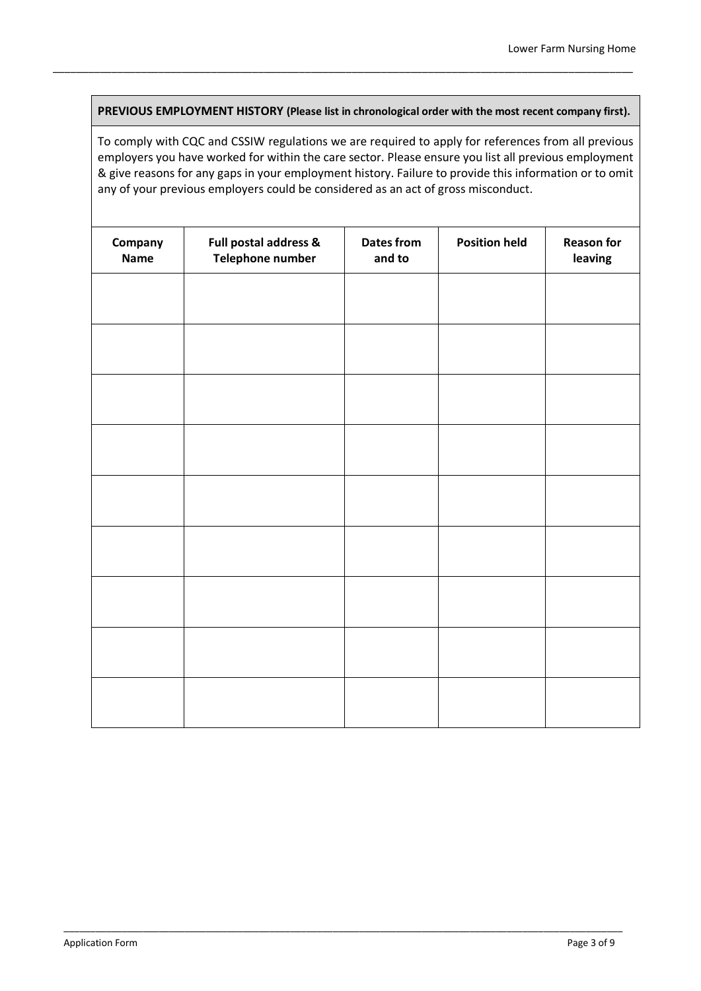**PREVIOUS EMPLOYMENT HISTORY (Please list in chronological order with the most recent company first).**

\_\_\_\_\_\_\_\_\_\_\_\_\_\_\_\_\_\_\_\_\_\_\_\_\_\_\_\_\_\_\_\_\_\_\_\_\_\_\_\_\_\_\_\_\_\_\_\_\_\_\_\_\_\_\_\_\_\_\_\_\_\_\_\_\_\_\_\_\_\_\_\_\_\_\_\_\_\_\_\_\_\_\_\_\_\_\_\_\_\_\_\_\_\_\_\_\_\_\_

To comply with CQC and CSSIW regulations we are required to apply for references from all previous employers you have worked for within the care sector. Please ensure you list all previous employment & give reasons for any gaps in your employment history. Failure to provide this information or to omit any of your previous employers could be considered as an act of gross misconduct.

| Company<br><b>Name</b> | Full postal address &<br>Telephone number | <b>Dates from</b><br>and to | <b>Position held</b> | <b>Reason for</b><br>leaving |
|------------------------|-------------------------------------------|-----------------------------|----------------------|------------------------------|
|                        |                                           |                             |                      |                              |
|                        |                                           |                             |                      |                              |
|                        |                                           |                             |                      |                              |
|                        |                                           |                             |                      |                              |
|                        |                                           |                             |                      |                              |
|                        |                                           |                             |                      |                              |
|                        |                                           |                             |                      |                              |
|                        |                                           |                             |                      |                              |
|                        |                                           |                             |                      |                              |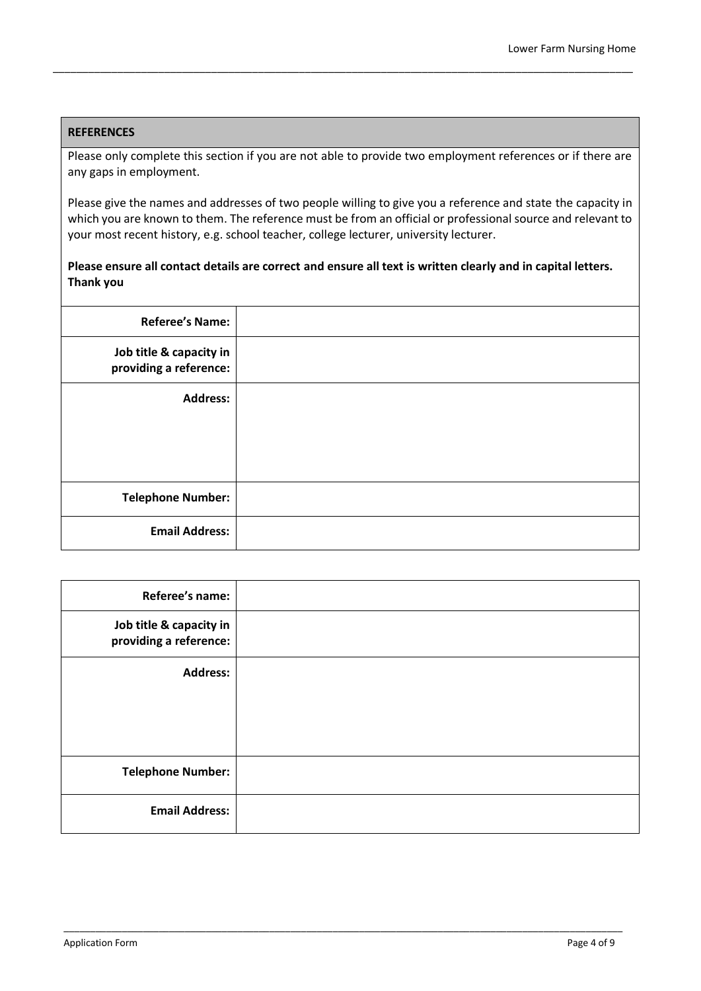### **REFERENCES**

Please only complete this section if you are not able to provide two employment references or if there are any gaps in employment.

\_\_\_\_\_\_\_\_\_\_\_\_\_\_\_\_\_\_\_\_\_\_\_\_\_\_\_\_\_\_\_\_\_\_\_\_\_\_\_\_\_\_\_\_\_\_\_\_\_\_\_\_\_\_\_\_\_\_\_\_\_\_\_\_\_\_\_\_\_\_\_\_\_\_\_\_\_\_\_\_\_\_\_\_\_\_\_\_\_\_\_\_\_\_\_\_\_\_\_

Please give the names and addresses of two people willing to give you a reference and state the capacity in which you are known to them. The reference must be from an official or professional source and relevant to your most recent history, e.g. school teacher, college lecturer, university lecturer.

### **Please ensure all contact details are correct and ensure all text is written clearly and in capital letters. Thank you**

| <b>Referee's Name:</b>                            |  |
|---------------------------------------------------|--|
| Job title & capacity in<br>providing a reference: |  |
| <b>Address:</b>                                   |  |
|                                                   |  |
|                                                   |  |
|                                                   |  |
| <b>Telephone Number:</b>                          |  |
| <b>Email Address:</b>                             |  |

| Referee's name:                                   |  |
|---------------------------------------------------|--|
| Job title & capacity in<br>providing a reference: |  |
| <b>Address:</b>                                   |  |
|                                                   |  |
|                                                   |  |
|                                                   |  |
| <b>Telephone Number:</b>                          |  |
| <b>Email Address:</b>                             |  |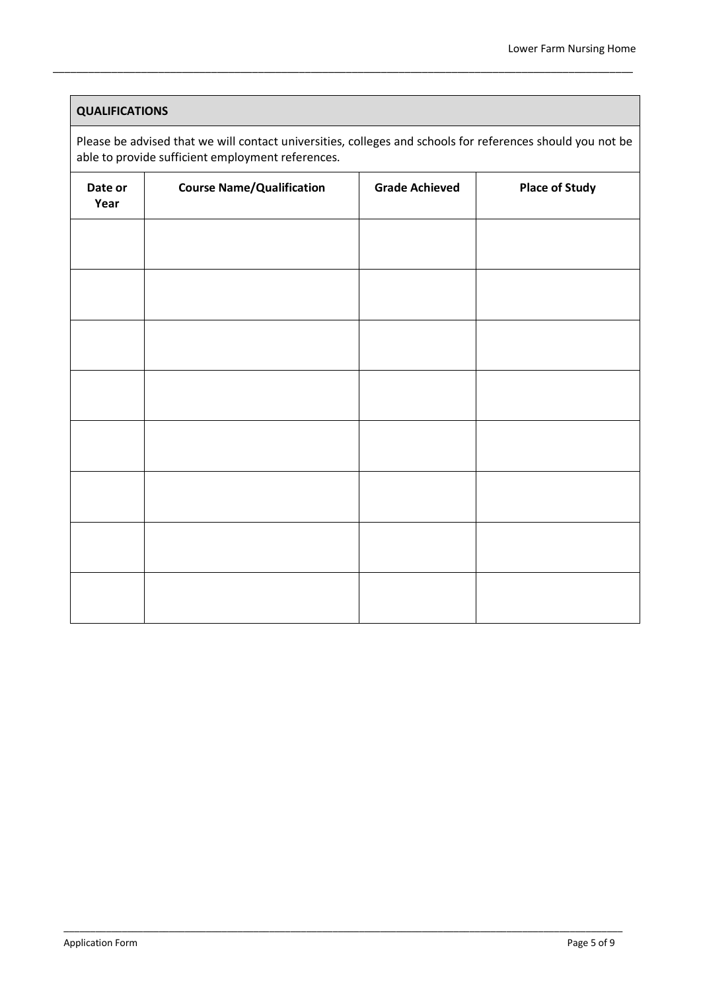### **QUALIFICATIONS**

Please be advised that we will contact universities, colleges and schools for references should you not be able to provide sufficient employment references.

\_\_\_\_\_\_\_\_\_\_\_\_\_\_\_\_\_\_\_\_\_\_\_\_\_\_\_\_\_\_\_\_\_\_\_\_\_\_\_\_\_\_\_\_\_\_\_\_\_\_\_\_\_\_\_\_\_\_\_\_\_\_\_\_\_\_\_\_\_\_\_\_\_\_\_\_\_\_\_\_\_\_\_\_\_\_\_\_\_\_\_\_\_\_\_\_\_\_\_

| Date or<br>Year | <b>Course Name/Qualification</b> | <b>Grade Achieved</b> | <b>Place of Study</b> |
|-----------------|----------------------------------|-----------------------|-----------------------|
|                 |                                  |                       |                       |
|                 |                                  |                       |                       |
|                 |                                  |                       |                       |
|                 |                                  |                       |                       |
|                 |                                  |                       |                       |
|                 |                                  |                       |                       |
|                 |                                  |                       |                       |
|                 |                                  |                       |                       |
|                 |                                  |                       |                       |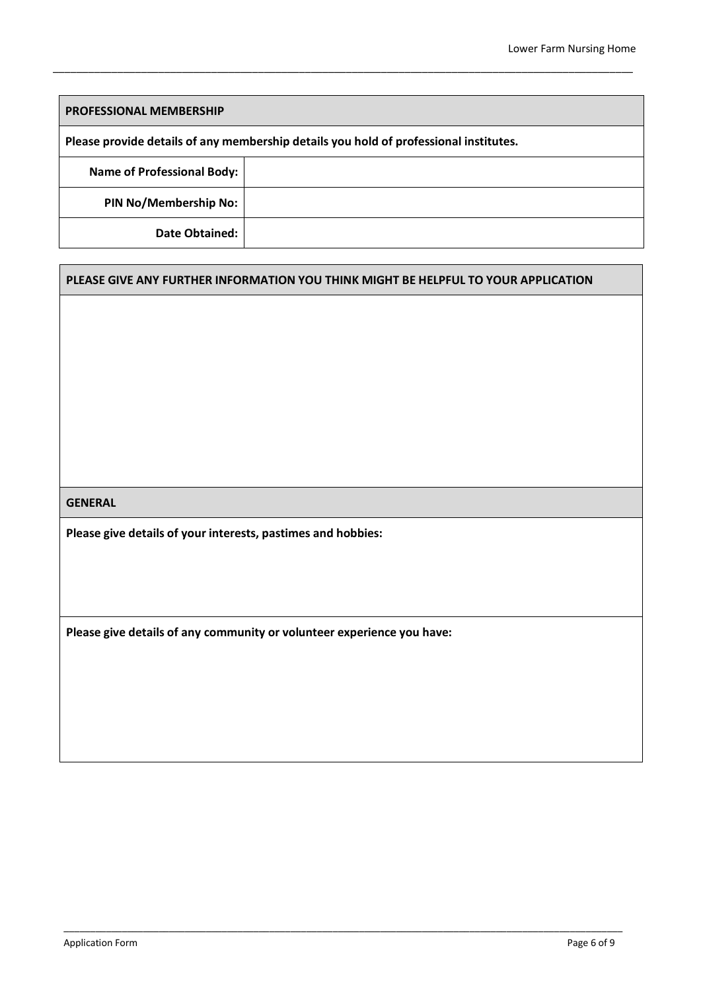| <b>PROFESSIONAL MEMBERSHIP</b>                                                        |  |  |
|---------------------------------------------------------------------------------------|--|--|
| Please provide details of any membership details you hold of professional institutes. |  |  |
| <b>Name of Professional Body:</b>                                                     |  |  |
| <b>PIN No/Membership No:</b>                                                          |  |  |
| Date Obtained:                                                                        |  |  |

\_\_\_\_\_\_\_\_\_\_\_\_\_\_\_\_\_\_\_\_\_\_\_\_\_\_\_\_\_\_\_\_\_\_\_\_\_\_\_\_\_\_\_\_\_\_\_\_\_\_\_\_\_\_\_\_\_\_\_\_\_\_\_\_\_\_\_\_\_\_\_\_\_\_\_\_\_\_\_\_\_\_\_\_\_\_\_\_\_\_\_\_\_\_\_\_\_\_\_

### **PLEASE GIVE ANY FURTHER INFORMATION YOU THINK MIGHT BE HELPFUL TO YOUR APPLICATION**

\_\_\_\_\_\_\_\_\_\_\_\_\_\_\_\_\_\_\_\_\_\_\_\_\_\_\_\_\_\_\_\_\_\_\_\_\_\_\_\_\_\_\_\_\_\_\_\_\_\_\_\_\_\_\_\_\_\_\_\_\_\_\_\_\_\_\_\_\_\_\_\_\_\_\_\_\_\_\_\_\_\_\_\_\_\_\_\_\_\_\_\_\_\_\_\_\_\_\_\_\_\_\_\_\_\_

### **GENERAL**

**Please give details of your interests, pastimes and hobbies:**

**Please give details of any community or volunteer experience you have:**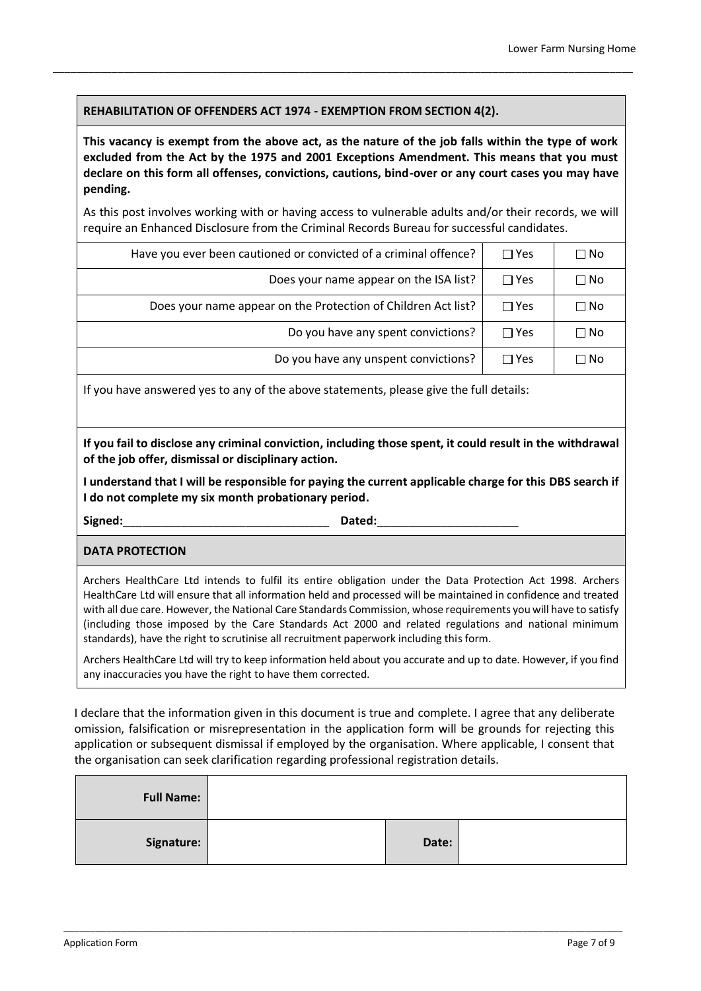### **REHABILITATION OF OFFENDERS ACT 1974 - EXEMPTION FROM SECTION 4(2).**

**This vacancy is exempt from the above act, as the nature of the job falls within the type of work excluded from the Act by the 1975 and 2001 Exceptions Amendment. This means that you must declare on this form all offenses, convictions, cautions, bind-over or any court cases you may have pending.** 

\_\_\_\_\_\_\_\_\_\_\_\_\_\_\_\_\_\_\_\_\_\_\_\_\_\_\_\_\_\_\_\_\_\_\_\_\_\_\_\_\_\_\_\_\_\_\_\_\_\_\_\_\_\_\_\_\_\_\_\_\_\_\_\_\_\_\_\_\_\_\_\_\_\_\_\_\_\_\_\_\_\_\_\_\_\_\_\_\_\_\_\_\_\_\_\_\_\_\_

As this post involves working with or having access to vulnerable adults and/or their records, we will require an Enhanced Disclosure from the Criminal Records Bureau for successful candidates.

| Have you ever been cautioned or convicted of a criminal offence? | $\Box$ Yes | $\Box$ No    |
|------------------------------------------------------------------|------------|--------------|
| Does your name appear on the ISA list?                           | $\Box$ Yes | $\square$ No |
| Does your name appear on the Protection of Children Act list?    | $\Box$ Yes | $\square$ No |
| Do you have any spent convictions?                               | $\Box$ Yes | $\square$ No |
| Do you have any unspent convictions?                             | $\Box$ Yes | $\square$ No |

If you have answered yes to any of the above statements, please give the full details:

**If you fail to disclose any criminal conviction, including those spent, it could result in the withdrawal of the job offer, dismissal or disciplinary action.**

**I understand that I will be responsible for paying the current applicable charge for this DBS search if I do not complete my six month probationary period.**

**Signed:**\_\_\_\_\_\_\_\_\_\_\_\_\_\_\_\_\_\_\_\_\_\_\_\_\_\_\_\_\_\_\_\_ **Dated:**\_\_\_\_\_\_\_\_\_\_\_\_\_\_\_\_\_\_\_\_\_\_

**DATA PROTECTION**

Archers HealthCare Ltd intends to fulfil its entire obligation under the Data Protection Act 1998. Archers HealthCare Ltd will ensure that all information held and processed will be maintained in confidence and treated with all due care. However, the National Care Standards Commission, whose requirements you will have to satisfy (including those imposed by the Care Standards Act 2000 and related regulations and national minimum standards), have the right to scrutinise all recruitment paperwork including this form.

Archers HealthCare Ltd will try to keep information held about you accurate and up to date. However, if you find any inaccuracies you have the right to have them corrected.

I declare that the information given in this document is true and complete. I agree that any deliberate omission, falsification or misrepresentation in the application form will be grounds for rejecting this application or subsequent dismissal if employed by the organisation. Where applicable, I consent that the organisation can seek clarification regarding professional registration details.

| <b>Full Name:</b> |       |  |
|-------------------|-------|--|
| Signature:        | Date: |  |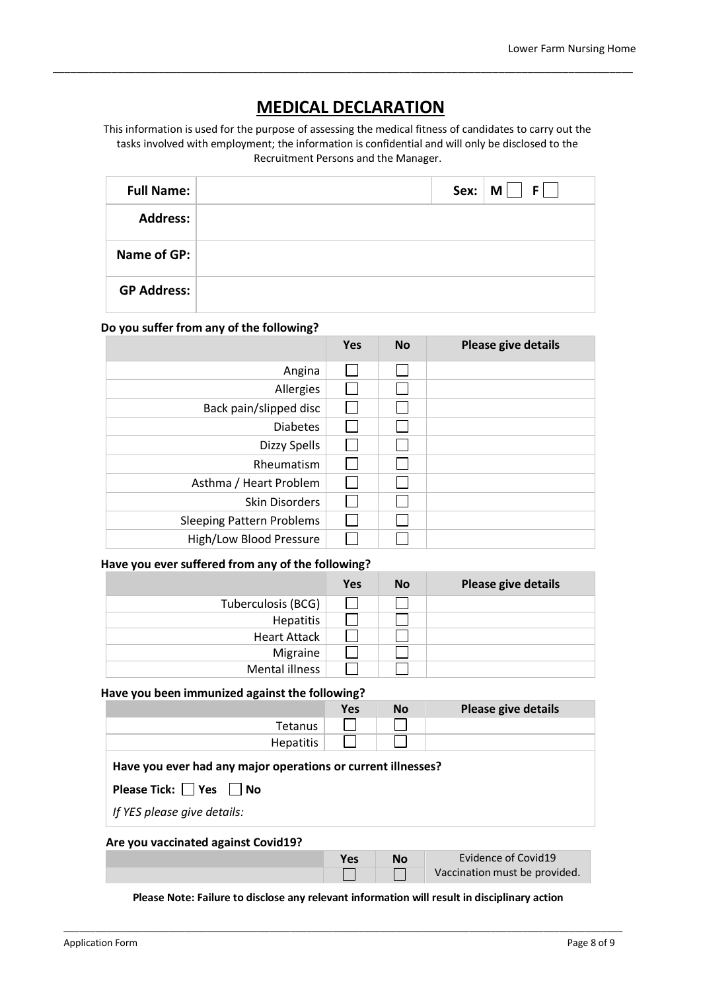### **MEDICAL DECLARATION**

\_\_\_\_\_\_\_\_\_\_\_\_\_\_\_\_\_\_\_\_\_\_\_\_\_\_\_\_\_\_\_\_\_\_\_\_\_\_\_\_\_\_\_\_\_\_\_\_\_\_\_\_\_\_\_\_\_\_\_\_\_\_\_\_\_\_\_\_\_\_\_\_\_\_\_\_\_\_\_\_\_\_\_\_\_\_\_\_\_\_\_\_\_\_\_\_\_\_\_

This information is used for the purpose of assessing the medical fitness of candidates to carry out the tasks involved with employment; the information is confidential and will only be disclosed to the Recruitment Persons and the Manager.

| <b>Full Name:</b>  |  | $F \mid \cdot$<br>Sex: $\mid M \mid \mid$ |
|--------------------|--|-------------------------------------------|
| <b>Address:</b>    |  |                                           |
| Name of GP:        |  |                                           |
| <b>GP Address:</b> |  |                                           |

### **Do you suffer from any of the following?**

|                                  | Yes | <b>No</b> | Please give details |
|----------------------------------|-----|-----------|---------------------|
| Angina                           |     |           |                     |
| Allergies                        |     |           |                     |
| Back pain/slipped disc           |     |           |                     |
| <b>Diabetes</b>                  |     |           |                     |
| Dizzy Spells                     |     |           |                     |
| Rheumatism                       |     |           |                     |
| Asthma / Heart Problem           |     |           |                     |
| <b>Skin Disorders</b>            |     |           |                     |
| <b>Sleeping Pattern Problems</b> |     |           |                     |
| High/Low Blood Pressure          |     |           |                     |

### **Have you ever suffered from any of the following?**

|                     | <b>Yes</b> | <b>No</b> | Please give details |
|---------------------|------------|-----------|---------------------|
| Tuberculosis (BCG)  |            |           |                     |
| Hepatitis           |            |           |                     |
| <b>Heart Attack</b> |            |           |                     |
| Migraine            |            |           |                     |
| Mental illness      |            |           |                     |

### **Have you been immunized against the following?**

|                                                                                                   | <b>Yes</b> | <b>No</b> | Please give details |  |  |
|---------------------------------------------------------------------------------------------------|------------|-----------|---------------------|--|--|
| Tetanus                                                                                           |            |           |                     |  |  |
| Hepatitis                                                                                         |            |           |                     |  |  |
| Have you ever had any major operations or current illnesses?<br>Please Tick: $\Box$ Yes $\Box$ No |            |           |                     |  |  |
| If YES please give details:                                                                       |            |           |                     |  |  |
| Are you vaccinated against Covid19?                                                               |            |           |                     |  |  |
|                                                                                                   | <b>Yes</b> | <b>No</b> | Evidence of Covid19 |  |  |

### **Please Note: Failure to disclose any relevant information will result in disciplinary action**

 $\Box$ 

 $\Box$ 

\_\_\_\_\_\_\_\_\_\_\_\_\_\_\_\_\_\_\_\_\_\_\_\_\_\_\_\_\_\_\_\_\_\_\_\_\_\_\_\_\_\_\_\_\_\_\_\_\_\_\_\_\_\_\_\_\_\_\_\_\_\_\_\_\_\_\_\_\_\_\_\_\_\_\_\_\_\_\_\_\_\_\_\_\_\_\_\_\_\_\_\_\_\_\_\_\_\_\_\_\_\_\_\_\_\_

Vaccination must be provided.